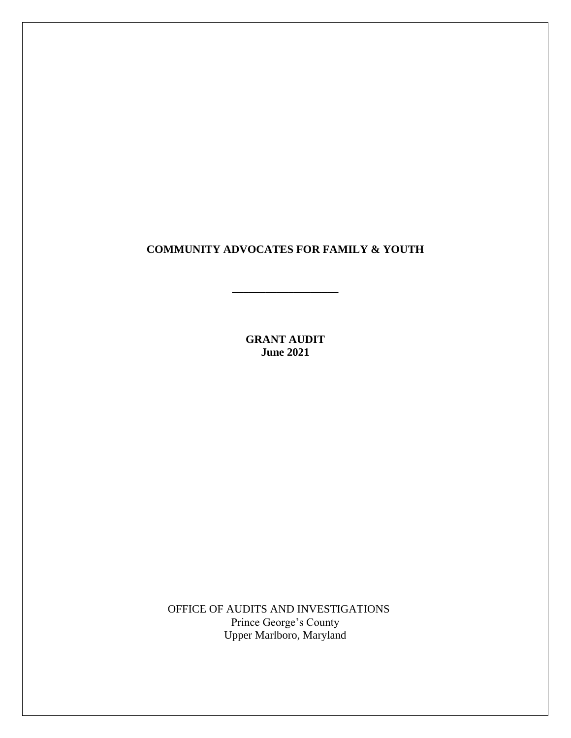## **COMMUNITY ADVOCATES FOR FAMILY & YOUTH**

**\_\_\_\_\_\_\_\_\_\_\_\_\_\_\_\_\_\_\_**

**GRANT AUDIT June 2021**

OFFICE OF AUDITS AND INVESTIGATIONS Prince George's County Upper Marlboro, Maryland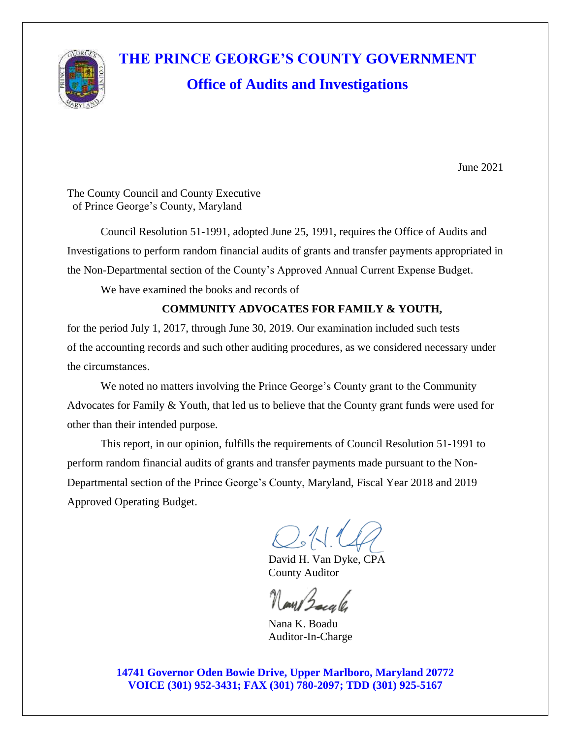

# **THE PRINCE GEORGE'S COUNTY GOVERNMENT Office of Audits and Investigations**

June 2021

The County Council and County Executive of Prince George's County, Maryland

Council Resolution 51-1991, adopted June 25, 1991, requires the Office of Audits and Investigations to perform random financial audits of grants and transfer payments appropriated in the Non-Departmental section of the County's Approved Annual Current Expense Budget.

We have examined the books and records of

### **COMMUNITY ADVOCATES FOR FAMILY & YOUTH,**

for the period July 1, 2017, through June 30, 2019. Our examination included such tests of the accounting records and such other auditing procedures, as we considered necessary under the circumstances.

We noted no matters involving the Prince George's County grant to the Community Advocates for Family & Youth, that led us to believe that the County grant funds were used for other than their intended purpose.

This report, in our opinion, fulfills the requirements of Council Resolution 51-1991 to perform random financial audits of grants and transfer payments made pursuant to the Non-Departmental section of the Prince George's County, Maryland, Fiscal Year 2018 and 2019 Approved Operating Budget.

 $O.11$ 

David H. Van Dyke, CPA County Auditor

 Nana K. Boadu Auditor-In-Charge

**14741 Governor Oden Bowie Drive, Upper Marlboro, Maryland 20772 VOICE (301) 952-3431; FAX (301) 780-2097; TDD (301) 925-5167**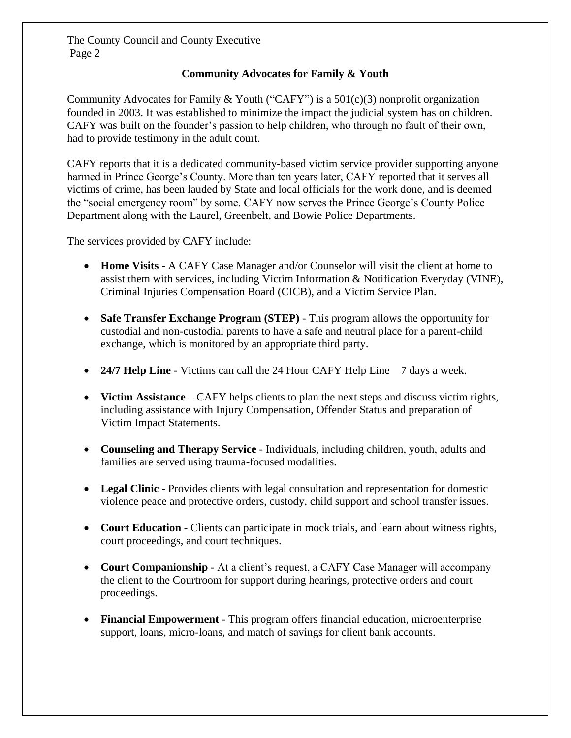#### **Community Advocates for Family & Youth**

Community Advocates for Family & Youth ("CAFY") is a  $501(c)(3)$  nonprofit organization founded in 2003. It was established to minimize the impact the judicial system has on children. CAFY was built on the founder's passion to help children, who through no fault of their own, had to provide testimony in the adult court.

CAFY reports that it is a dedicated community-based victim service provider supporting anyone harmed in Prince George's County. More than ten years later, CAFY reported that it serves all victims of crime, has been lauded by State and local officials for the work done, and is deemed the "social emergency room" by some. CAFY now serves the Prince George's County Police Department along with the Laurel, Greenbelt, and Bowie Police Departments.

The services provided by CAFY include:

- **Home Visits** A CAFY Case Manager and/or Counselor will visit the client at home to assist them with services, including Victim Information & Notification Everyday (VINE), Criminal Injuries Compensation Board (CICB), and a Victim Service Plan.
- **Safe Transfer Exchange Program (STEP)** This program allows the opportunity for custodial and non-custodial parents to have a safe and neutral place for a parent-child exchange, which is monitored by an appropriate third party.
- **24/7 Help Line** Victims can call the 24 Hour CAFY Help Line—7 days a week.
- **Victim Assistance** CAFY helps clients to plan the next steps and discuss victim rights, including assistance with Injury Compensation, Offender Status and preparation of Victim Impact Statements.
- **Counseling and Therapy Service** Individuals, including children, youth, adults and families are served using trauma-focused modalities.
- **Legal Clinic** Provides clients with legal consultation and representation for domestic violence peace and protective orders, custody, child support and school transfer issues.
- **Court Education** Clients can participate in mock trials, and learn about witness rights, court proceedings, and court techniques.
- **Court Companionship** At a client's request, a CAFY Case Manager will accompany the client to the Courtroom for support during hearings, protective orders and court proceedings.
- **Financial Empowerment** This program offers financial education, microenterprise support, loans, micro-loans, and match of savings for client bank accounts.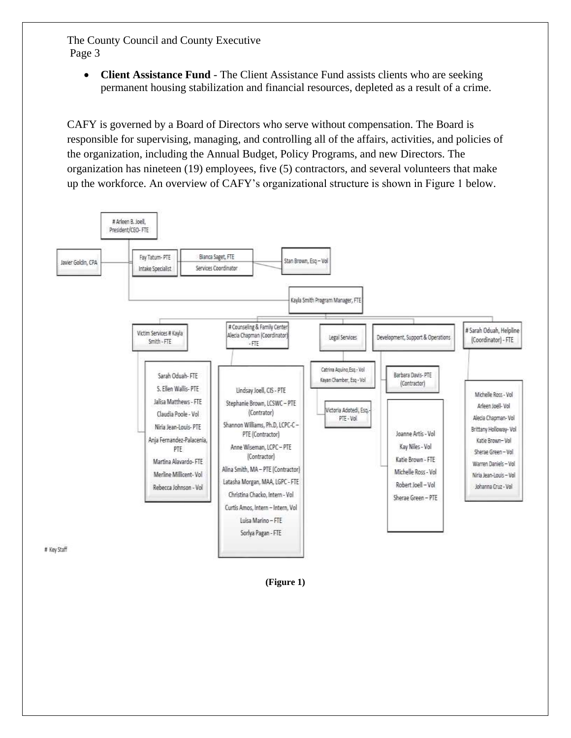• **Client Assistance Fund** - The Client Assistance Fund assists clients who are seeking permanent housing stabilization and financial resources, depleted as a result of a crime.

CAFY is governed by a Board of Directors who serve without compensation. The Board is responsible for supervising, managing, and controlling all of the affairs, activities, and policies of the organization, including the Annual Budget, Policy Programs, and new Directors. The organization has nineteen (19) employees, five (5) contractors, and several volunteers that make up the workforce. An overview of CAFY's organizational structure is shown in Figure 1 below.



**(Figure 1)**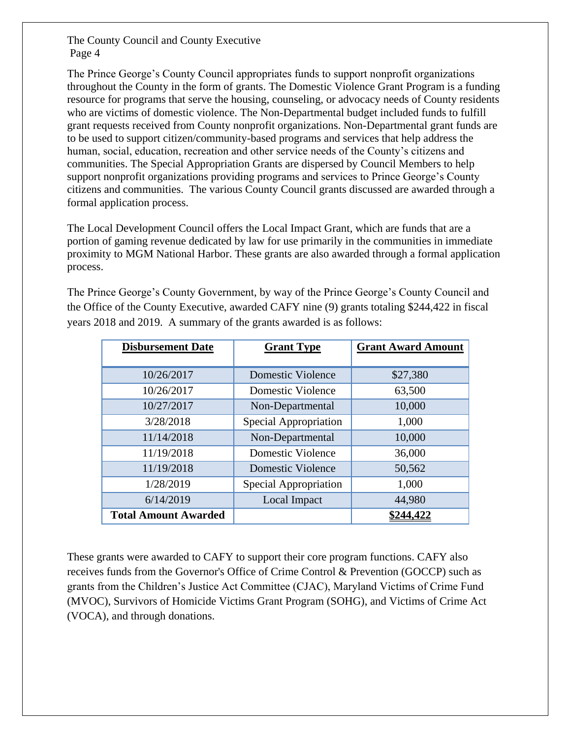The Prince George's County Council appropriates funds to support nonprofit organizations throughout the County in the form of grants. The Domestic Violence Grant Program is a funding resource for programs that serve the housing, counseling, or advocacy needs of County residents who are victims of domestic violence. The Non-Departmental budget included funds to fulfill grant requests received from County nonprofit organizations. Non-Departmental grant funds are to be used to support citizen/community-based programs and services that help address the human, social, education, recreation and other service needs of the County's citizens and communities. The Special Appropriation Grants are dispersed by Council Members to help support nonprofit organizations providing programs and services to Prince George's County citizens and communities. The various County Council grants discussed are awarded through a formal application process.

The Local Development Council offers the Local Impact Grant, which are funds that are a portion of gaming revenue dedicated by law for use primarily in the communities in immediate proximity to MGM National Harbor. These grants are also awarded through a formal application process.

The Prince George's County Government, by way of the Prince George's County Council and the Office of the County Executive, awarded CAFY nine (9) grants totaling \$244,422 in fiscal years 2018 and 2019. A summary of the grants awarded is as follows:

| <b>Disbursement Date</b>    | <b>Grant Type</b>        | <b>Grant Award Amount</b> |  |
|-----------------------------|--------------------------|---------------------------|--|
|                             |                          |                           |  |
| 10/26/2017                  | <b>Domestic Violence</b> | \$27,380                  |  |
| 10/26/2017                  | Domestic Violence        | 63,500                    |  |
| 10/27/2017                  | Non-Departmental         | 10,000                    |  |
| 3/28/2018                   | Special Appropriation    | 1,000                     |  |
| 11/14/2018                  | Non-Departmental         | 10,000                    |  |
| 11/19/2018                  | <b>Domestic Violence</b> | 36,000                    |  |
| 11/19/2018                  | Domestic Violence        | 50,562                    |  |
| 1/28/2019                   | Special Appropriation    | 1,000                     |  |
| 6/14/2019                   | Local Impact             | 44,980                    |  |
| <b>Total Amount Awarded</b> |                          | \$244,422                 |  |

These grants were awarded to CAFY to support their core program functions. CAFY also receives funds from the Governor's Office of Crime Control & Prevention (GOCCP) such as grants from the Children's Justice Act Committee (CJAC), Maryland Victims of Crime Fund (MVOC), Survivors of Homicide Victims Grant Program (SOHG), and Victims of Crime Act (VOCA), and through donations.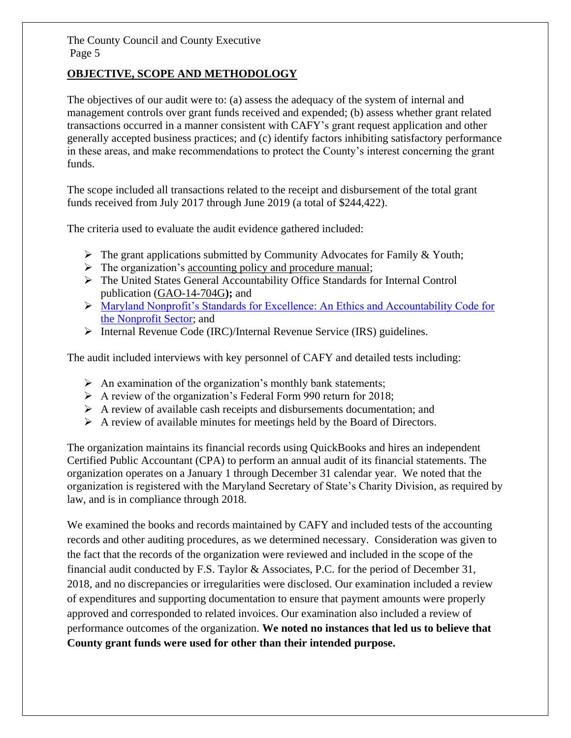#### **OBJECTIVE, SCOPE AND METHODOLOGY**

The objectives of our audit were to: (a) assess the adequacy of the system of internal and management controls over grant funds received and expended; (b) assess whether grant related transactions occurred in a manner consistent with CAFY's grant request application and other generally accepted business practices; and (c) identify factors inhibiting satisfactory performance in these areas, and make recommendations to protect the County's interest concerning the grant funds.

The scope included all transactions related to the receipt and disbursement of the total grant funds received from July 2017 through June 2019 (a total of \$244,422).

The criteria used to evaluate the audit evidence gathered included:

- $\triangleright$  The grant applications submitted by Community Advocates for Family & Youth;
- $\triangleright$  The organization's accounting policy and procedure manual;
- ➢ The United States General Accountability Office Standards for Internal Control publication [\(GAO-14-704G](https://www.gao.gov/products/GAO-14-704G)**);** and
- ➢ [Maryland Nonprofit's Standards for Excellence: An Ethics and Accountability Code for](https://standardsforexcellence.org/Home-2/code)  [the Nonprofit Sector;](https://standardsforexcellence.org/Home-2/code) and
- ➢ Internal Revenue Code (IRC)/Internal Revenue Service (IRS) guidelines.

The audit included interviews with key personnel of CAFY and detailed tests including:

- $\triangleright$  An examination of the organization's monthly bank statements;
- ➢ A review of the organization's Federal Form 990 return for 2018;
- $\triangleright$  A review of available cash receipts and disbursements documentation; and
- ➢ A review of available minutes for meetings held by the Board of Directors.

The organization maintains its financial records using QuickBooks and hires an independent Certified Public Accountant (CPA) to perform an annual audit of its financial statements. The organization operates on a January 1 through December 31 calendar year. We noted that the organization is registered with the Maryland Secretary of State's Charity Division, as required by law, and is in compliance through 2018.

We examined the books and records maintained by CAFY and included tests of the accounting records and other auditing procedures, as we determined necessary. Consideration was given to the fact that the records of the organization were reviewed and included in the scope of the financial audit conducted by F.S. Taylor & Associates, P.C. for the period of December 31, 2018, and no discrepancies or irregularities were disclosed. Our examination included a review of expenditures and supporting documentation to ensure that payment amounts were properly approved and corresponded to related invoices. Our examination also included a review of performance outcomes of the organization. **We noted no instances that led us to believe that County grant funds were used for other than their intended purpose.**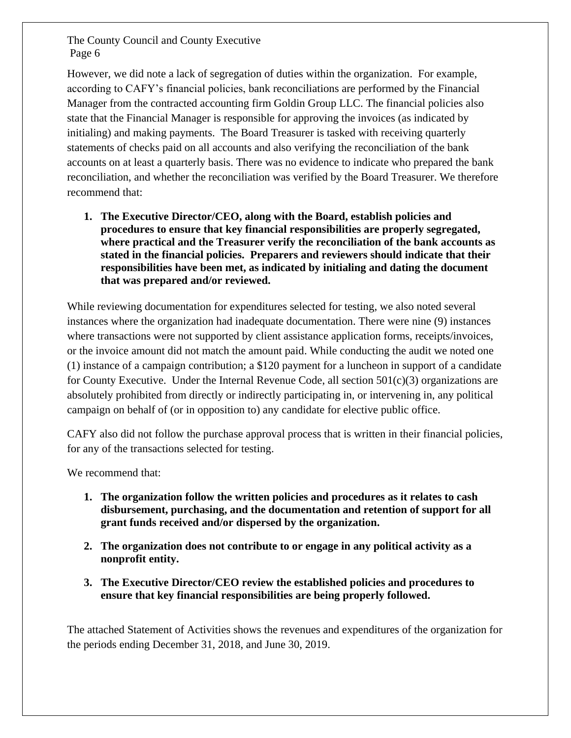However, we did note a lack of segregation of duties within the organization. For example, according to CAFY's financial policies, bank reconciliations are performed by the Financial Manager from the contracted accounting firm Goldin Group LLC. The financial policies also state that the Financial Manager is responsible for approving the invoices (as indicated by initialing) and making payments. The Board Treasurer is tasked with receiving quarterly statements of checks paid on all accounts and also verifying the reconciliation of the bank accounts on at least a quarterly basis. There was no evidence to indicate who prepared the bank reconciliation, and whether the reconciliation was verified by the Board Treasurer. We therefore recommend that:

**1. The Executive Director/CEO, along with the Board, establish policies and procedures to ensure that key financial responsibilities are properly segregated, where practical and the Treasurer verify the reconciliation of the bank accounts as stated in the financial policies. Preparers and reviewers should indicate that their responsibilities have been met, as indicated by initialing and dating the document that was prepared and/or reviewed.**

While reviewing documentation for expenditures selected for testing, we also noted several instances where the organization had inadequate documentation. There were nine (9) instances where transactions were not supported by client assistance application forms, receipts/invoices, or the invoice amount did not match the amount paid. While conducting the audit we noted one (1) instance of a campaign contribution; a \$120 payment for a luncheon in support of a candidate for County Executive. Under the Internal Revenue Code, all section  $501(c)(3)$  organizations are absolutely prohibited from directly or indirectly participating in, or intervening in, any political campaign on behalf of (or in opposition to) any candidate for elective public office.

CAFY also did not follow the purchase approval process that is written in their financial policies, for any of the transactions selected for testing.

We recommend that:

- **1. The organization follow the written policies and procedures as it relates to cash disbursement, purchasing, and the documentation and retention of support for all grant funds received and/or dispersed by the organization.**
- **2. The organization does not contribute to or engage in any political activity as a nonprofit entity.**
- **3. The Executive Director/CEO review the established policies and procedures to ensure that key financial responsibilities are being properly followed.**

The attached Statement of Activities shows the revenues and expenditures of the organization for the periods ending December 31, 2018, and June 30, 2019.